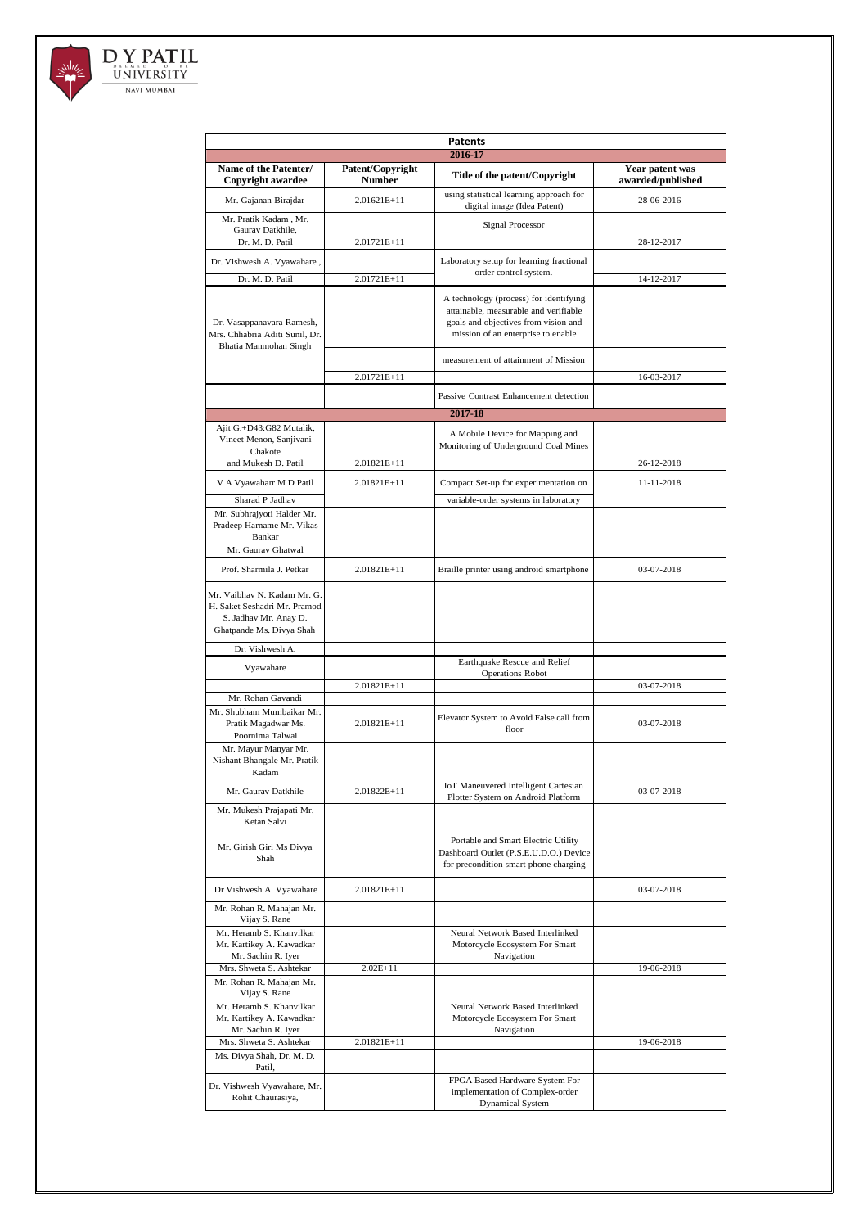

| Patents                                                                                                          |                                   |                                                                                                                                                               |                                      |  |  |
|------------------------------------------------------------------------------------------------------------------|-----------------------------------|---------------------------------------------------------------------------------------------------------------------------------------------------------------|--------------------------------------|--|--|
| 2016-17                                                                                                          |                                   |                                                                                                                                                               |                                      |  |  |
| Name of the Patenter/<br>Copyright awardee                                                                       | Patent/Copyright<br><b>Number</b> | Title of the patent/Copyright                                                                                                                                 | Year patent was<br>awarded/published |  |  |
| Mr. Gajanan Birajdar                                                                                             | 2.01621E+11                       | using statistical learning approach for<br>digital image (Idea Patent)                                                                                        | 28-06-2016                           |  |  |
| Mr. Pratik Kadam , Mr.<br>Gaurav Datkhile.                                                                       |                                   | <b>Signal Processor</b>                                                                                                                                       |                                      |  |  |
| Dr. M. D. Patil                                                                                                  | 2.01721E+11                       |                                                                                                                                                               | 28-12-2017                           |  |  |
| Dr. Vishwesh A. Vyawahare,                                                                                       |                                   | Laboratory setup for learning fractional<br>order control system.                                                                                             |                                      |  |  |
| Dr. M. D. Patil                                                                                                  | 2.01721E+11                       |                                                                                                                                                               | 14-12-2017                           |  |  |
| Dr. Vasappanavara Ramesh,<br>Mrs. Chhabria Aditi Sunil, Dr.<br>Bhatia Manmohan Singh                             |                                   | A technology (process) for identifying<br>attainable, measurable and verifiable<br>goals and objectives from vision and<br>mission of an enterprise to enable |                                      |  |  |
|                                                                                                                  |                                   | measurement of attainment of Mission                                                                                                                          |                                      |  |  |
|                                                                                                                  | 2.01721E+11                       |                                                                                                                                                               | 16-03-2017                           |  |  |
|                                                                                                                  |                                   | Passive Contrast Enhancement detection                                                                                                                        |                                      |  |  |
|                                                                                                                  |                                   | 2017-18                                                                                                                                                       |                                      |  |  |
| Ajit G.+D43:G82 Mutalik,<br>Vineet Menon, Sanjivani<br>Chakote                                                   |                                   | A Mobile Device for Mapping and<br>Monitoring of Underground Coal Mines                                                                                       |                                      |  |  |
| and Mukesh D. Patil                                                                                              | 2.01821E+11                       |                                                                                                                                                               | 26-12-2018                           |  |  |
| V A Vyawaharr M D Patil                                                                                          | $2.01821E+11$                     | Compact Set-up for experimentation on                                                                                                                         | 11-11-2018                           |  |  |
| Sharad P Jadhav                                                                                                  |                                   | variable-order systems in laboratory                                                                                                                          |                                      |  |  |
| Mr. Subhrajyoti Halder Mr.<br>Pradeep Harname Mr. Vikas<br>Bankar                                                |                                   |                                                                                                                                                               |                                      |  |  |
| Mr. Gaurav Ghatwal                                                                                               |                                   |                                                                                                                                                               |                                      |  |  |
| Prof. Sharmila J. Petkar                                                                                         | 2.01821E+11                       | Braille printer using android smartphone                                                                                                                      | 03-07-2018                           |  |  |
| Mr. Vaibhav N. Kadam Mr. G.<br>H. Saket Seshadri Mr. Pramod<br>S. Jadhav Mr. Anay D.<br>Ghatpande Ms. Divya Shah |                                   |                                                                                                                                                               |                                      |  |  |
| Dr. Vishwesh A.                                                                                                  |                                   |                                                                                                                                                               |                                      |  |  |
| Vyawahare                                                                                                        |                                   | Earthquake Rescue and Relief<br><b>Operations Robot</b>                                                                                                       |                                      |  |  |
| Mr. Rohan Gavandi                                                                                                | 2.01821E+11                       |                                                                                                                                                               | 03-07-2018                           |  |  |
| Mr. Shubham Mumbaikar Mr.<br>Pratik Magadwar Ms.<br>Poornima Talwai                                              | $2.01821E+11$                     | Elevator System to Avoid False call from<br>floor                                                                                                             | 03-07-2018                           |  |  |
| Mr. Mayur Manyar Mr.<br>Nishant Bhangale Mr. Pratik<br>Kadam                                                     |                                   |                                                                                                                                                               |                                      |  |  |
| Mr. Gaurav Datkhile                                                                                              | 2.01822E+11                       | <b>IoT</b> Maneuvered Intelligent Cartesian<br>Plotter System on Android Platform                                                                             | 03-07-2018                           |  |  |
| Mr. Mukesh Prajapati Mr.<br>Ketan Salvi                                                                          |                                   |                                                                                                                                                               |                                      |  |  |
| Mr. Girish Giri Ms Divya<br>Shah                                                                                 |                                   | Portable and Smart Electric Utility<br>Dashboard Outlet (P.S.E.U.D.O.) Device<br>for precondition smart phone charging                                        |                                      |  |  |
| Dr Vishwesh A. Vyawahare                                                                                         | 2.01821E+11                       |                                                                                                                                                               | 03-07-2018                           |  |  |
| Mr. Rohan R. Mahajan Mr.<br>Vijay S. Rane                                                                        |                                   |                                                                                                                                                               |                                      |  |  |
| Mr. Heramb S. Khanvilkar                                                                                         |                                   | Neural Network Based Interlinked                                                                                                                              |                                      |  |  |
| Mr. Kartikey A. Kawadkar<br>Mr. Sachin R. Iyer                                                                   |                                   | Motorcycle Ecosystem For Smart<br>Navigation                                                                                                                  |                                      |  |  |
| Mrs. Shweta S. Ashtekar                                                                                          | $2.02E+11$                        |                                                                                                                                                               | 19-06-2018                           |  |  |
| Mr. Rohan R. Mahajan Mr.<br>Vijay S. Rane                                                                        |                                   |                                                                                                                                                               |                                      |  |  |
| Mr. Heramb S. Khanvilkar<br>Mr. Kartikey A. Kawadkar                                                             |                                   | Neural Network Based Interlinked<br>Motorcycle Ecosystem For Smart                                                                                            |                                      |  |  |
| Mr. Sachin R. Iyer<br>Mrs. Shweta S. Ashtekar                                                                    | 2.01821E+11                       | Navigation                                                                                                                                                    | 19-06-2018                           |  |  |
| Ms. Divya Shah, Dr. M. D.<br>Patil,                                                                              |                                   |                                                                                                                                                               |                                      |  |  |
| Dr. Vishwesh Vyawahare, Mr.<br>Rohit Chaurasiya,                                                                 |                                   | FPGA Based Hardware System For<br>implementation of Complex-order<br><b>Dynamical System</b>                                                                  |                                      |  |  |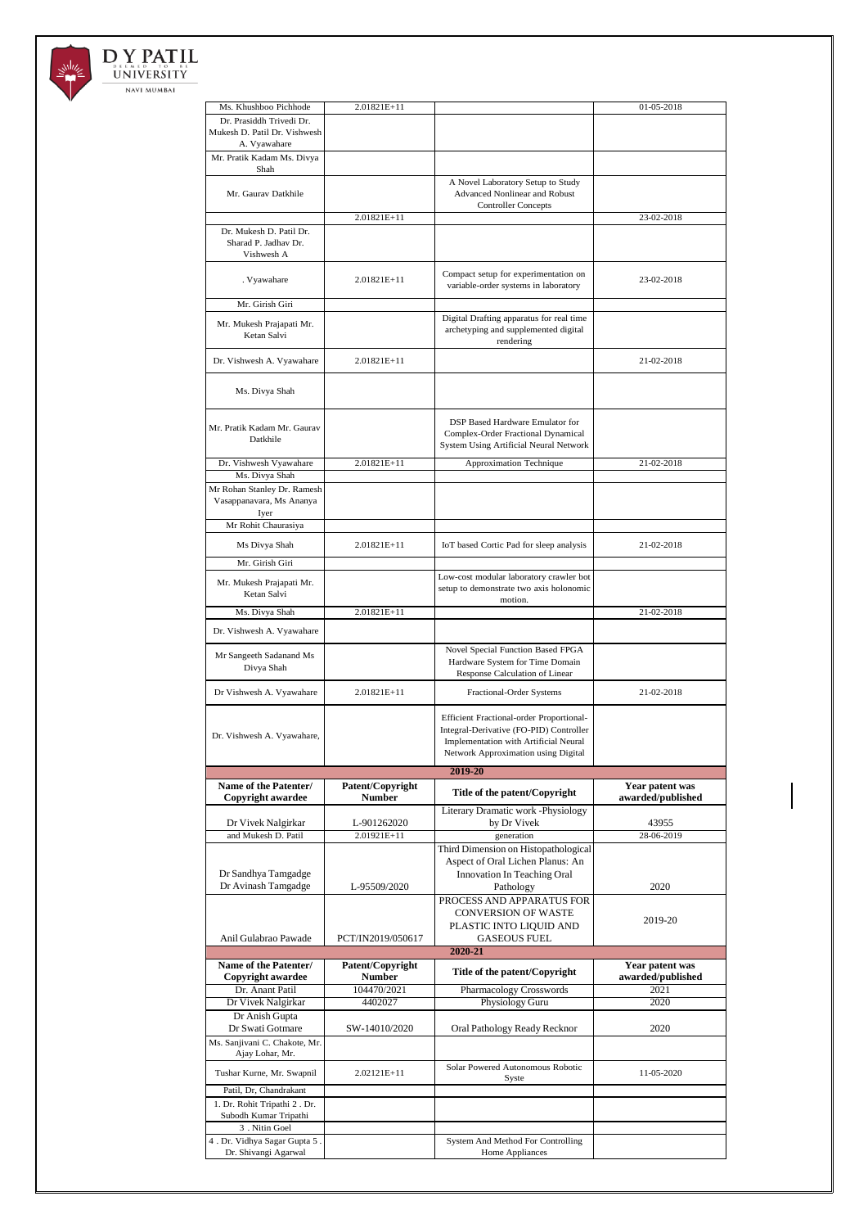

## DY PATIL UNIVERSITY NAVI MUMBAI

| Ms. Khushboo Pichhode                                   | 2.01821E+11       |                                                                 | 01-05-2018        |
|---------------------------------------------------------|-------------------|-----------------------------------------------------------------|-------------------|
| Dr. Prasiddh Trivedi Dr.                                |                   |                                                                 |                   |
| Mukesh D. Patil Dr. Vishwesh                            |                   |                                                                 |                   |
| A. Vyawahare                                            |                   |                                                                 |                   |
| Mr. Pratik Kadam Ms. Divya<br>Shah                      |                   |                                                                 |                   |
|                                                         |                   | A Novel Laboratory Setup to Study                               |                   |
| Mr. Gaurav Datkhile                                     |                   | <b>Advanced Nonlinear and Robust</b>                            |                   |
|                                                         | 2.01821E+11       | <b>Controller Concepts</b>                                      | 23-02-2018        |
| Dr. Mukesh D. Patil Dr.                                 |                   |                                                                 |                   |
| Sharad P. Jadhay Dr.                                    |                   |                                                                 |                   |
| Vishwesh A                                              |                   |                                                                 |                   |
| . Vyawahare                                             | 2.01821E+11       | Compact setup for experimentation on                            | 23-02-2018        |
|                                                         |                   | variable-order systems in laboratory                            |                   |
| Mr. Girish Giri                                         |                   |                                                                 |                   |
| Mr. Mukesh Prajapati Mr.                                |                   | Digital Drafting apparatus for real time                        |                   |
| Ketan Salvi                                             |                   | archetyping and supplemented digital<br>rendering               |                   |
|                                                         | 2.01821E+11       |                                                                 | 21-02-2018        |
| Dr. Vishwesh A. Vyawahare                               |                   |                                                                 |                   |
| Ms. Divya Shah                                          |                   |                                                                 |                   |
|                                                         |                   |                                                                 |                   |
|                                                         |                   | DSP Based Hardware Emulator for                                 |                   |
| Mr. Pratik Kadam Mr. Gaurav                             |                   | Complex-Order Fractional Dynamical                              |                   |
| Datkhile                                                |                   | System Using Artificial Neural Network                          |                   |
| Dr. Vishwesh Vyawahare                                  | 2.01821E+11       | Approximation Technique                                         | 21-02-2018        |
| Ms. Divya Shah                                          |                   |                                                                 |                   |
| Mr Rohan Stanley Dr. Ramesh<br>Vasappanavara, Ms Ananya |                   |                                                                 |                   |
| Iyer                                                    |                   |                                                                 |                   |
| Mr Rohit Chaurasiya                                     |                   |                                                                 |                   |
| Ms Divya Shah                                           | 2.01821E+11       | IoT based Cortic Pad for sleep analysis                         | 21-02-2018        |
| Mr. Girish Giri                                         |                   |                                                                 |                   |
|                                                         |                   | Low-cost modular laboratory crawler bot                         |                   |
| Mr. Mukesh Prajapati Mr.<br>Ketan Salvi                 |                   | setup to demonstrate two axis holonomic                         |                   |
|                                                         |                   | motion.                                                         |                   |
| Ms. Divya Shah                                          | 2.01821E+11       |                                                                 | 21-02-2018        |
| Dr. Vishwesh A. Vyawahare                               |                   |                                                                 |                   |
|                                                         |                   |                                                                 |                   |
|                                                         |                   | Novel Special Function Based FPGA                               |                   |
| Mr Sangeeth Sadanand Ms<br>Divya Shah                   |                   | Hardware System for Time Domain                                 |                   |
|                                                         |                   | Response Calculation of Linear                                  |                   |
| Dr Vishwesh A. Vyawahare                                | 2.01821E+11       | Fractional-Order Systems                                        | 21-02-2018        |
|                                                         |                   | Efficient Fractional-order Proportional-                        |                   |
|                                                         |                   | Integral-Derivative (FO-PID) Controller                         |                   |
| Dr. Vishwesh A. Vyawahare,                              |                   | Implementation with Artificial Neural                           |                   |
|                                                         |                   | Network Approximation using Digital                             |                   |
|                                                         |                   | 2019-20                                                         |                   |
| Name of the Patenter/                                   | Patent/Copyright  | Title of the patent/Copyright                                   | Year patent was   |
| <b>Copyright awardee</b>                                | <b>Number</b>     | Literary Dramatic work -Physiology                              | awarded/published |
| Dr Vivek Nalgirkar                                      | L-901262020       | by Dr Vivek                                                     | 43955             |
| and Mukesh D. Patil                                     | 2.01921E+11       | generation                                                      | 28-06-2019        |
|                                                         |                   | Third Dimension on Histopathological                            |                   |
| Dr Sandhya Tamgadge                                     |                   | Aspect of Oral Lichen Planus: An<br>Innovation In Teaching Oral |                   |
| Dr Avinash Tamgadge                                     | L-95509/2020      | Pathology                                                       | 2020              |
|                                                         |                   | PROCESS AND APPARATUS FOR                                       |                   |
|                                                         |                   | <b>CONVERSION OF WASTE</b>                                      | 2019-20           |
|                                                         |                   | PLASTIC INTO LIQUID AND                                         |                   |
| Anil Gulabrao Pawade                                    | PCT/IN2019/050617 | <b>GASEOUS FUEL</b><br>2020-21                                  |                   |
| Name of the Patenter/                                   | Patent/Copyright  |                                                                 | Year patent was   |
| Copyright awardee                                       | <b>Number</b>     | Title of the patent/Copyright                                   | awarded/published |
| Dr. Anant Patil                                         | 104470/2021       | <b>Pharmacology Crosswords</b>                                  | 2021              |
| Dr Vivek Nalgirkar                                      | 4402027           | Physiology Guru                                                 | 2020              |
| Dr Anish Gupta<br>Dr Swati Gotmare                      | SW-14010/2020     | Oral Pathology Ready Recknor                                    | 2020              |
| Ms. Sanjivani C. Chakote, Mr.                           |                   |                                                                 |                   |
| Ajay Lohar, Mr.                                         |                   |                                                                 |                   |
| Tushar Kurne, Mr. Swapnil                               | 2.02121E+11       | Solar Powered Autonomous Robotic<br>Syste                       | 11-05-2020        |
| Patil, Dr, Chandrakant                                  |                   |                                                                 |                   |
| 1. Dr. Rohit Tripathi 2. Dr.                            |                   |                                                                 |                   |
| Subodh Kumar Tripathi                                   |                   |                                                                 |                   |
| 3. Nitin Goel<br>4. Dr. Vidhya Sagar Gupta 5.           |                   | System And Method For Controlling                               |                   |